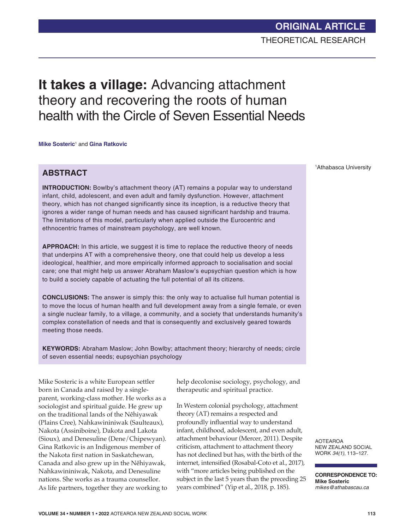# **It takes a village:** Advancing attachment theory and recovering the roots of human health with the Circle of Seven Essential Needs

**Mike Sosteric**<sup>1</sup> and **Gina Ratkovic** 

## **ABSTRACT**

**INTRODUCTION:** Bowlby's attachment theory (AT) remains a popular way to understand infant, child, adolescent, and even adult and family dysfunction. However, attachment theory, which has not changed significantly since its inception, is a reductive theory that ignores a wider range of human needs and has caused significant hardship and trauma. The limitations of this model, particularly when applied outside the Eurocentric and ethnocentric frames of mainstream psychology, are well known.

**APPROACH:** In this article, we suggest it is time to replace the reductive theory of needs that underpins AT with a comprehensive theory, one that could help us develop a less ideological, healthier, and more empirically informed approach to socialisation and social care; one that might help us answer Abraham Maslow's eupsychian question which is how to build a society capable of actuating the full potential of all its citizens.

**CONCLUSIONS:** The answer is simply this: the only way to actualise full human potential is to move the locus of human health and full development away from a single female, or even a single nuclear family, to a village, a community, and a society that understands humanity's complex constellation of needs and that is consequently and exclusively geared towards meeting those needs.

**KEYWORDS:** Abraham Maslow; John Bowlby; attachment theory; hierarchy of needs; circle of seven essential needs; eupsychian psychology

Mike Sosteric is a white European settler born in Canada and raised by a singleparent, working-class mother. He works as a sociologist and spiritual guide. He grew up on the traditional lands of the Nêhiyawak (Plains Cree), Nahkawininiwak (Saulteaux), Nakota (Assiniboine), Dakota and Lakota (Sioux), and Denesuline (Dene/Chipewyan). Gina Ratkovic is an Indigenous member of the Nakota first nation in Saskatchewan, Canada and also grew up in the Nêhiyawak, Nahkawininiwak, Nakota, and Denesuline nations. She works as a trauma counsellor. As life partners, together they are working to help decolonise sociology, psychology, and therapeutic and spiritual practice.

In Western colonial psychology, attachment theory (AT) remains a respected and profoundly influential way to understand infant, childhood, adolescent, and even adult, attachment behaviour (Mercer, 2011). Despite criticism, attachment to attachment theory has not declined but has, with the birth of the internet, intensified (Rosabal-Coto et al., 2017), with "more articles being published on the subject in the last 5 years than the preceding 25 years combined" (Yip et al., 2018, p. 185).

1 Athabasca University

AOTEAROA NEW ZEALAND SOCIAL WORK *34(1)*, 113–127.

**CORRESPONDENCE TO: Mike Sosteric** *mikes@athabascau.ca*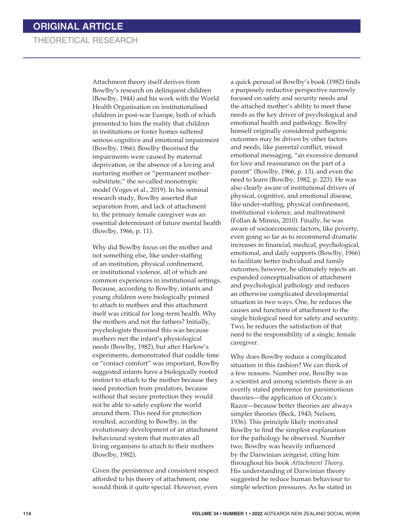Attachment theory itself derives from Bowlby's research on delinquent children (Bowlby, 1944) and his work with the World Health Organisation on institutionalised children in post-war Europe, both of which presented to him the reality that children in institutions or foster homes suffered serious cognitive and emotional impairment (Bowlby, 1966). Bowlby theorised the impairments were caused by maternal deprivation, or the absence of a loving and nurturing mother or "permanent mothersubstitute," the so-called monotropic model (Voges et al., 2019). In his seminal research study, Bowlby asserted that separation from, and lack of attachment to, the primary female caregiver was an essential determinant of future mental health (Bowlby, 1966, p. 11).

Why did Bowlby focus on the mother and not something else, like under-staffing of an institution, physical confinement, or institutional violence, all of which are common experiences in institutional settings. Because, according to Bowlby, infants and young children were biologically primed to attach to mothers and this attachment itself was critical for long-term health. Why the mothers and not the fathers? Initially, psychologists theorised this was because mothers met the infant's physiological needs (Bowlby, 1982), but after Harlow's experiments, demonstrated that cuddle time or "contact comfort" was important, Bowlby suggested infants have a biologically rooted instinct to attach to the mother because they need protection from predators, because without that secure protection they would not be able to safely explore the world around them. This need for protection resulted, according to Bowlby, in the evolutionary development of an attachment behavioural system that motivates all living organisms to attach to their mothers (Bowlby, 1982).

Given the persistence and consistent respect afforded to his theory of attachment, one would think it quite special. However, even

a quick perusal of Bowlby's book (1982) finds a purposely reductive perspective narrowly focused on safety and security needs and the attached mother's ability to meet these needs as the key driver of psychological and emotional health and pathology. Bowlby himself originally considered pathogenic outcomes may be driven by other factors and needs, like parental conflict, mixed emotional messaging, "an excessive demand for love and reassurance on the part of a parent" (Bowlby, 1966, p. 13), and even the need to learn (Bowlby, 1982, p. 223). He was also clearly aware of institutional drivers of physical, cognitive, and emotional disease, like under-staffing, physical confinement, institutional violence, and maltreatment (Follan & Minnis, 2010). Finally, he was aware of socioeconomic factors, like poverty, even going so far as to recommend dramatic increases in financial, medical, psychological, emotional, and daily supports (Bowlby, 1966) to facilitate better individual and family outcomes; however, he ultimately rejects an expanded conceptualisation of attachment and psychological pathology and reduces an otherwise complicated developmental situation in two ways. One, he reduces the causes and functions of attachment to the single biological need for safety and security. Two, he reduces the satisfaction of that need to the responsibility of a single, female caregiver.

Why does Bowlby reduce a complicated situation in this fashion? We can think of a few reasons. Number one, Bowlby was a scientist and among scientists there is an overtly stated preference for parsimonious theories—the application of Occam's Razor—because better theories are always simpler theories (Beck, 1943; Nelson, 1936). This principle likely motivated Bowlby to find the simplest explanation for the pathology he observed. Number two, Bowlby was heavily influenced by the Darwinian zeitgeist, citing him throughout his book *Attachment Theory*. His understanding of Darwinian theory suggested he reduce human behaviour to simple selection pressures. As he stated in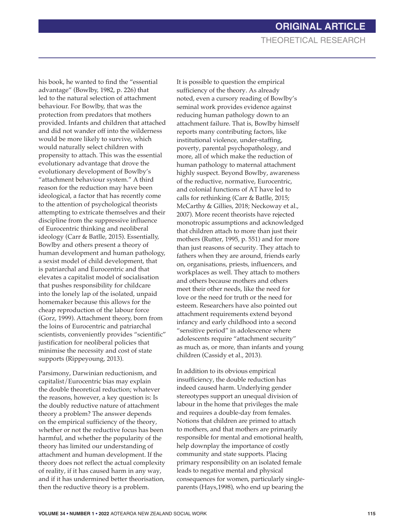his book, he wanted to find the "essential advantage" (Bowlby, 1982, p. 226) that led to the natural selection of attachment behaviour. For Bowlby, that was the protection from predators that mothers provided. Infants and children that attached and did not wander off into the wilderness would be more likely to survive, which would naturally select children with propensity to attach. This was the essential evolutionary advantage that drove the evolutionary development of Bowlby's "attachment behaviour system." A third reason for the reduction may have been ideological, a factor that has recently come to the attention of psychological theorists attempting to extricate themselves and their discipline from the suppressive influence of Eurocentric thinking and neoliberal ideology (Carr & Batlle, 2015). Essentially, Bowlby and others present a theory of human development and human pathology, a sexist model of child development, that is patriarchal and Eurocentric and that elevates a capitalist model of socialisation that pushes responsibility for childcare into the lonely lap of the isolated, unpaid homemaker because this allows for the cheap reproduction of the labour force (Gorz, 1999). Attachment theory, born from the loins of Eurocentric and patriarchal scientists, conveniently provides "scientific" justification for neoliberal policies that minimise the necessity and cost of state supports (Rippeyoung, 2013).

Parsimony, Darwinian reductionism, and capitalist/Eurocentric bias may explain the double theoretical reduction; whatever the reasons, however, a key question is: Is the doubly reductive nature of attachment theory a problem? The answer depends on the empirical sufficiency of the theory, whether or not the reductive focus has been harmful, and whether the popularity of the theory has limited our understanding of attachment and human development. If the theory does not reflect the actual complexity of reality, if it has caused harm in any way, and if it has undermined better theorisation, then the reductive theory is a problem.

It is possible to question the empirical sufficiency of the theory. As already noted, even a cursory reading of Bowlby's seminal work provides evidence against reducing human pathology down to an attachment failure. That is, Bowlby himself reports many contributing factors, like institutional violence, under-staffing, poverty, parental psychopathology, and more, all of which make the reduction of human pathology to maternal attachment highly suspect. Beyond Bowlby, awareness of the reductive, normative, Eurocentric, and colonial functions of AT have led to calls for rethinking (Carr & Batlle, 2015; McCarthy & Gillies, 2018; Neckoway et al., 2007). More recent theorists have rejected monotropic assumptions and acknowledged that children attach to more than just their mothers (Rutter, 1995, p. 551) and for more than just reasons of security. They attach to fathers when they are around, friends early on, organisations, priests, influencers, and workplaces as well. They attach to mothers and others because mothers and others meet their other needs, like the need for love or the need for truth or the need for esteem. Researchers have also pointed out attachment requirements extend beyond infancy and early childhood into a second "sensitive period" in adolescence where adolescents require "attachment security" as much as, or more, than infants and young children (Cassidy et al., 2013).

In addition to its obvious empirical insufficiency, the double reduction has indeed caused harm. Underlying gender stereotypes support an unequal division of labour in the home that privileges the male and requires a double-day from females. Notions that children are primed to attach to mothers, and that mothers are primarily responsible for mental and emotional health, help downplay the importance of costly community and state supports. Placing primary responsibility on an isolated female leads to negative mental and physical consequences for women, particularly singleparents (Hays,1998), who end up bearing the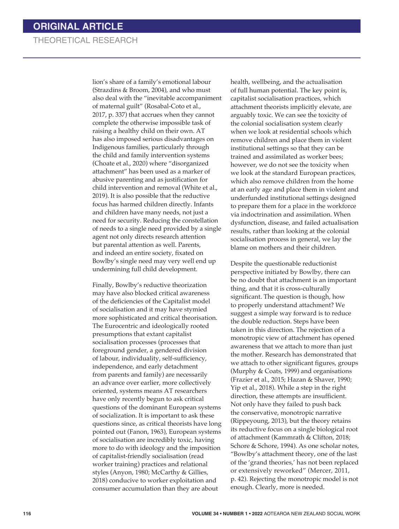lion's share of a family's emotional labour (Strazdins & Broom, 2004), and who must also deal with the "inevitable accompaniment of maternal guilt" (Rosabal-Coto et al., 2017, p. 337) that accrues when they cannot complete the otherwise impossible task of raising a healthy child on their own. AT has also imposed serious disadvantages on Indigenous families, particularly through the child and family intervention systems (Choate et al., 2020) where "disorganized attachment" has been used as a marker of abusive parenting and as justification for child intervention and removal (White et al., 2019). It is also possible that the reductive focus has harmed children directly. Infants and children have many needs, not just a need for security. Reducing the constellation of needs to a single need provided by a single agent not only directs research attention but parental attention as well. Parents, and indeed an entire society, fixated on Bowlby's single need may very well end up undermining full child development.

Finally, Bowlby's reductive theorization may have also blocked critical awareness of the deficiencies of the Capitalist model of socialisation and it may have stymied more sophisticated and critical theorisation. The Eurocentric and ideologically rooted presumptions that extant capitalist socialisation processes (processes that foreground gender, a gendered division of labour, individuality, self-sufficiency, independence, and early detachment from parents and family) are necessarily an advance over earlier, more collectively oriented, systems means AT researchers have only recently begun to ask critical questions of the dominant European systems of socialization. It is important to ask these questions since, as critical theorists have long pointed out (Fanon, 1963), European systems of socialisation are incredibly toxic, having more to do with ideology and the imposition of capitalist-friendly socialisation (read worker training) practices and relational styles (Anyon, 1980; McCarthy & Gillies, 2018) conducive to worker exploitation and consumer accumulation than they are about

health, wellbeing, and the actualisation of full human potential. The key point is, capitalist socialisation practices, which attachment theorists implicitly elevate, are arguably toxic. We can see the toxicity of the colonial socialisation system clearly when we look at residential schools which remove children and place them in violent institutional settings so that they can be trained and assimilated as worker bees; however, we do not see the toxicity when we look at the standard European practices, which also remove children from the home at an early age and place them in violent and underfunded institutional settings designed to prepare them for a place in the workforce via indoctrination and assimilation. When dysfunction, disease, and failed actualisation results, rather than looking at the colonial socialisation process in general, we lay the blame on mothers and their children.

Despite the questionable reductionist perspective initiated by Bowlby, there can be no doubt that attachment is an important thing, and that it is cross-culturally significant. The question is though, how to properly understand attachment? We suggest a simple way forward is to reduce the double reduction. Steps have been taken in this direction. The rejection of a monotropic view of attachment has opened awareness that we attach to more than just the mother. Research has demonstrated that we attach to other significant figures, groups (Murphy & Coats, 1999) and organisations (Frazier et al., 2015; Hazan & Shaver, 1990; Yip et al., 2018). While a step in the right direction, these attempts are insufficient. Not only have they failed to push back the conservative, monotropic narrative (Rippeyoung, 2013), but the theory retains its reductive focus on a single biological root of attachment (Kammrath & Clifton, 2018; Schore & Schore, 1994). As one scholar notes, "Bowlby's attachment theory, one of the last of the 'grand theories,' has not been replaced or extensively reworked" (Mercer, 2011, p. 42). Rejecting the monotropic model is not enough. Clearly, more is needed.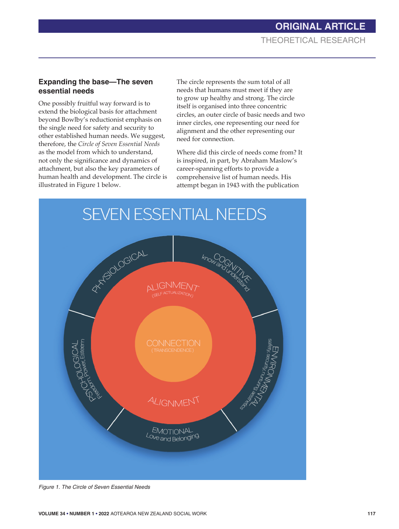#### **Expanding the base—The seven essential needs**

One possibly fruitful way forward is to extend the biological basis for attachment beyond Bowlby's reductionist emphasis on the single need for safety and security to other established human needs. We suggest, therefore, the *Circle of Seven Essential Needs* as the model from which to understand, not only the significance and dynamics of attachment, but also the key parameters of human health and development. The circle is illustrated in Figure 1 below.

The circle represents the sum total of all needs that humans must meet if they are to grow up healthy and strong. The circle itself is organised into three concentric circles, an outer circle of basic needs and two inner circles, one representing our need for alignment and the other representing our need for connection.

Where did this circle of needs come from? It is inspired, in part, by Abraham Maslow's career-spanning efforts to provide a comprehensive list of human needs. His attempt began in 1943 with the publication



*Figure 1. The Circle of Seven Essential Needs*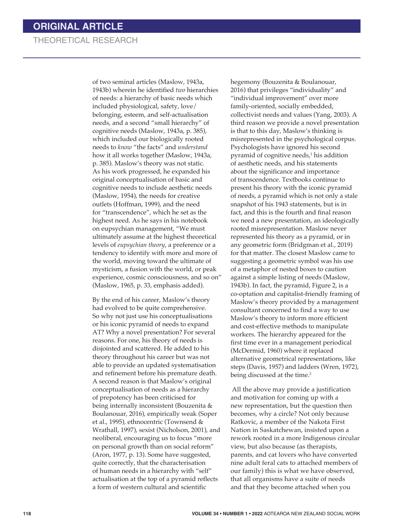of two seminal articles (Maslow, 1943a, 1943b) wherein he identified *two* hierarchies of needs: a hierarchy of basic needs which included physiological, safety, love/ belonging, esteem, and self-actualisation needs, and a second "small hierarchy" of cognitive needs (Maslow, 1943a, p. 385), which included our biologically rooted needs to *know* "the facts" and *understand*  how it all works together (Maslow, 1943a, p. 385). Maslow's theory was not static. As his work progressed, he expanded his original conceptualisation of basic and cognitive needs to include aesthetic needs (Maslow, 1954), the needs for creative outlets (Hoffman, 1999), and the need for "transcendence", which he set as the highest need. As he says in his notebook on eupsychian management, "We must ultimately assume at the highest theoretical levels of *eupsychian theory*, a preference or a tendency to identify with more and more of the world, moving toward the ultimate of mysticism, a fusion with the world, or peak experience, cosmic consciousness, and so on" (Maslow, 1965, p. 33, emphasis added).

By the end of his career, Maslow's theory had evolved to be quite comprehensive. So why not just use his conceptualisations or his iconic pyramid of needs to expand AT? Why a novel presentation? For several reasons. For one, his theory of needs is disjointed and scattered. He added to his theory throughout his career but was not able to provide an updated systematisation and refinement before his premature death. A second reason is that Maslow's original conceptualisation of needs as a hierarchy of prepotency has been criticised for being internally inconsistent (Bouzenita & Boulanouar, 2016), empirically weak (Soper et al., 1995), ethnocentric (Townsend & Wrathall, 1997), sexist (Nicholson, 2001), and neoliberal, encouraging us to focus "more on personal growth than on social reform" (Aron, 1977, p. 13). Some have suggested, quite correctly, that the characterisation of human needs in a hierarchy with "self" actualisation at the top of a pyramid reflects a form of western cultural and scientific

hegemony (Bouzenita & Boulanouar, 2016) that privileges "individuality" and "individual improvement" over more family-oriented, socially embedded, collectivist needs and values (Yang, 2003). A third reason we provide a novel presentation is that to this day, Maslow's thinking is misrepresented in the psychological corpus. Psychologists have ignored his second pyramid of cognitive needs,<sup>1</sup> his addition of aesthetic needs, and his statements about the significance and importance of transcendence. Textbooks continue to present his theory with the iconic pyramid of needs, a pyramid which is not only a stale snapshot of his 1943 statements, but is in fact, and this is the fourth and final reason we need a new presentation, an ideologically rooted misrepresentation. Maslow never represented his theory as a pyramid, or in any geometric form (Bridgman et al., 2019) for that matter. The closest Maslow came to suggesting a geometric symbol was his use of a metaphor of nested boxes to caution against a simple listing of needs (Maslow, 1943b). In fact, the pyramid, Figure 2, is a co-optation and capitalist-friendly framing of Maslow's theory provided by a management consultant concerned to find a way to use Maslow's theory to inform more efficient and cost-effective methods to manipulate workers. The hierarchy appeared for the first time ever in a management periodical (McDermid, 1960) where it replaced alternative geometrical representations, like steps (Davis, 1957) and ladders (Wren, 1972), being discussed at the time.<sup>2</sup>

 All the above may provide a justification and motivation for coming up with a new representation, but the question then becomes, why a circle? Not only because Ratkovic, a member of the Nakota First Nation in Saskatchewan, insisted upon a rework rooted in a more Indigenous circular view, but also because (as therapists, parents, and cat lovers who have converted nine adult feral cats to attached members of our family) this is what we have observed, that all organisms have a suite of needs and that they become attached when you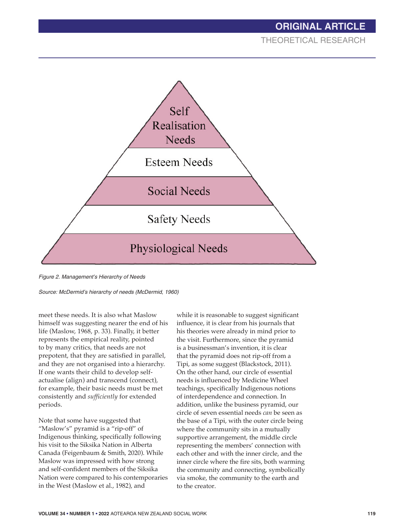# **ORIGINAL ARTICLE**

THEORETICAL RESEARCH



*Figure 2. Management's Hierarchy of Needs*

*Source: McDermid's hierarchy of needs (McDermid, 1960)*

meet these needs. It is also what Maslow himself was suggesting nearer the end of his life (Maslow, 1968, p. 33). Finally, it better represents the empirical reality, pointed to by many critics, that needs are not prepotent, that they are satisfied in parallel, and they are not organised into a hierarchy. If one wants their child to develop selfactualise (align) and transcend (connect), for example, their basic needs must be met consistently and *sufficiently* for extended periods.

Note that some have suggested that "Maslow's" pyramid is a "rip-off" of Indigenous thinking, specifically following his visit to the Siksika Nation in Alberta Canada (Feigenbaum & Smith, 2020). While Maslow was impressed with how strong and self-confident members of the Siksika Nation were compared to his contemporaries in the West (Maslow et al., 1982), and

while it is reasonable to suggest significant influence, it is clear from his journals that his theories were already in mind prior to the visit. Furthermore, since the pyramid is a businessman's invention, it is clear that the pyramid does not rip-off from a Tipi, as some suggest (Blackstock, 2011). On the other hand, our circle of essential needs is influenced by Medicine Wheel teachings, specifically Indigenous notions of interdependence and connection*.* In addition, unlike the business pyramid, our circle of seven essential needs *can* be seen as the base of a Tipi, with the outer circle being where the community sits in a mutually supportive arrangement, the middle circle representing the members' connection with each other and with the inner circle, and the inner circle where the fire sits, both warming the community and connecting, symbolically via smoke, the community to the earth and to the creator.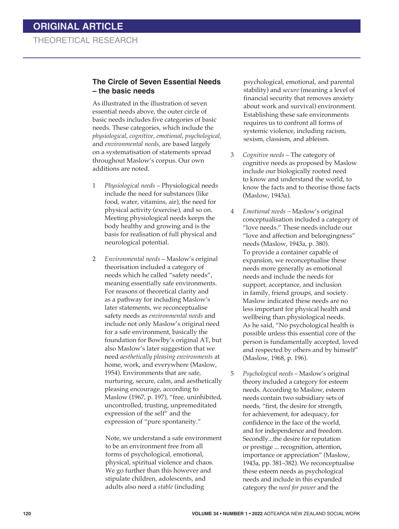#### **The Circle of Seven Essential Needs – the basic needs**

As illustrated in the illustration of seven essential needs above, the outer circle of basic needs includes five categories of basic needs. These categories, which include the *physiological*, *cognitive, emotional, psychological,* and *environmental needs,* are based largely on a systematisation of statements spread throughout Maslow's corpus. Our own additions are noted.

- 1 *Physiological needs* Physiological needs include the need for substances (like food, water, vitamins, air), the need for physical activity (exercise), and so on. Meeting physiological needs keeps the body healthy and growing and is the basis for realisation of full physical and neurological potential.
- 2 *Environmental needs* Maslow's original theorisation included a category of needs which he called "safety needs", meaning essentially safe environments. For reasons of theoretical clarity and as a pathway for including Maslow's later statements, we reconceptualise safety needs as *environmental needs* and include not only Maslow's original need for a safe environment, basically the foundation for Bowlby's original AT, but also Maslow's later suggestion that we need *aesthetically pleasing environments* at home, work, and everywhere (Maslow, 1954). Environments that are safe, nurturing, secure, calm, and aesthetically pleasing encourage, according to Maslow (1967, p. 197), "free, uninhibited, uncontrolled, trusting, unpremeditated expression of the self" and the expression of "pure spontaneity."

 Note, we understand a safe environment to be an environment free from all forms of psychological, emotional, physical, spiritual violence and chaos. We go further than this however and stipulate children, adolescents, and adults also need a *stable* (including

psychological, emotional, and parental stability) and *secure* (meaning a level of financial security that removes anxiety about work and survival) environment. Establishing these safe environments requires us to confront all forms of systemic violence, including racism, sexism, classism, and ableism.

- 3 *Cognitive needs* The category of cognitive needs as proposed by Maslow include our biologically rooted need to know and understand the world, to know the facts and to theorise those facts (Maslow, 1943a).
- 4 *Emotional needs* Maslow's original conceptualisation included a category of "love needs." These needs include our "love and affection and belongingness" needs (Maslow, 1943a, p. 380). To provide a container capable of expansion, we reconceptualise these needs more generally as emotional needs and include the needs for support, acceptance, and inclusion in family, friend groups, and society. Maslow indicated these needs are no less important for physical health and wellbeing than physiological needs. As he said, "No psychological health is possible unless this essential core of the person is fundamentally accepted, loved and respected by others and by himself" (Maslow, 1968, p. 196).
- 5 *Psychological needs* Maslow's original theory included a category for esteem needs. According to Maslow, esteem needs contain two subsidiary sets of needs, "first, the desire for strength, for achievement, for adequacy, for confidence in the face of the world, and for independence and freedom. Secondly...the desire for reputation or prestige ... recognition, attention, importance or appreciation" (Maslow, 1943a, pp. 381–382). We reconceptualise these esteem needs as psychological needs and include in this expanded category the *need for power* and the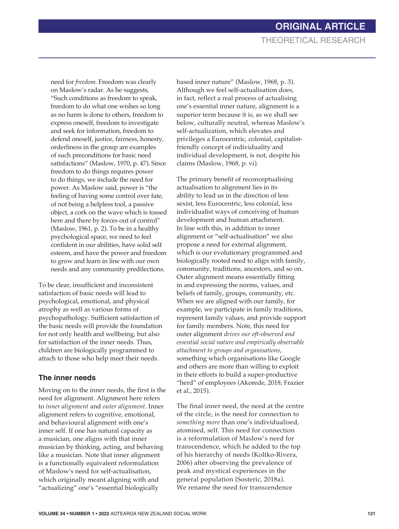need for *freedom.* Freedom was clearly on Maslow's radar. As he suggests, "Such conditions as freedom to speak, freedom to do what one wishes so long as no harm is done to others, freedom to express oneself, freedom to investigate and seek for information, freedom to defend oneself, justice, fairness, honesty, orderliness in the group are examples of such preconditions for basic need satisfactions" (Maslow, 1970, p. 47). Since freedom to do things requires power to do things, we include the need for power. As Maslow said, power is "the feeling of having some control over fate, of not being a helpless tool, a passive object, a cork on the wave which is tossed here and there by forces out of control" (Maslow, 1961, p. 2). To be in a healthy psychological space, we need to feel confident in our abilities, have solid self esteem, and have the power and freedom to grow and learn in line with our own needs and any community predilections.

To be clear, insufficient and inconsistent satisfaction of basic needs will lead to psychological, emotional, and physical atrophy as well as various forms of psychopathology. Sufficient satisfaction of the basic needs will provide the foundation for not only health and wellbeing, but also for satisfaction of the inner needs. Thus, children are biologically programmed to attach to those who help meet their needs.

## **The inner needs**

Moving on to the inner needs, the first is the need for alignment. Alignment here refers to *inner alignment* and *outer alignment*. Inner alignment refers to cognitive, emotional, and behavioural alignment with one's inner self. If one has natural capacity as a musician, one aligns with that inner musician by thinking, acting, and behaving like a musician. Note that inner alignment is a functionally equivalent reformulation of Maslow's need for self-actualisation, which originally meant aligning with and "actualizing" one's "essential biologically

based inner nature" (Maslow, 1968, p. 3). Although we feel self-actualisation does, in fact, reflect a real process of actualising one's essential inner nature, alignment is a superior term because it is, as we shall see below, culturally neutral, whereas Maslow's self-actualization, which elevates and privileges a Eurocentric, colonial, capitalistfriendly concept of individuality and individual development, is not, despite his claims (Maslow, 1968, p. vi).

The primary benefit of reconceptualising actualisation to alignment lies in its ability to lead us in the direction of less sexist, less Eurocentric, less colonial, less individualist ways of conceiving of human development and human attachment. In line with this, in addition to inner alignment or "self-actualisation" we also propose a need for external alignment, which is our evolutionary programmed and biologically rooted need to align with family, community, traditions, ancestors, and so on. Outer alignment means essentially fitting in and expressing the norms, values, and beliefs of family, groups, community, etc. When we are aligned with our family, for example, we participate in family traditions, represent family values, and provide support for family members. Note, this need for outer alignment *drives our oft-observed and essential social nature and empirically observable attachment to groups and organisations*, something which organisations like Google and others are more than willing to exploit in their efforts to build a super-productive "herd" of employees (Akorede, 2018; Frazier et al., 2015).

The final inner need, the need at the centre of the circle, is the need for connection to *something more* than one's individualised, atomised, self. This need for connection is a reformulation of Maslow's need for transcendence, which he added to the top of his hierarchy of needs (Koltko-Rivera, 2006) after observing the prevalence of peak and mystical experiences in the general population (Sosteric, 2018a). We rename the need for transcendence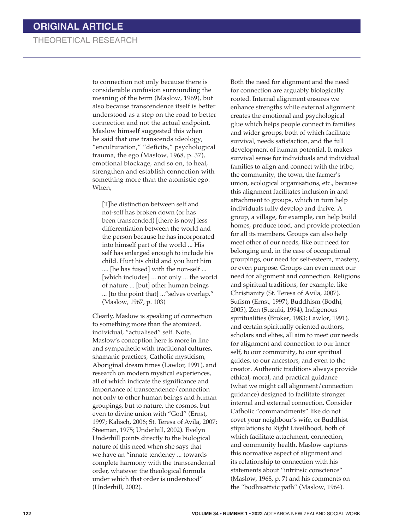to connection not only because there is considerable confusion surrounding the meaning of the term (Maslow, 1969), but also because transcendence itself is better understood as a step on the road to better connection and not the actual endpoint. Maslow himself suggested this when he said that one transcends ideology, "enculturation," "deficits," psychological trauma, the ego (Maslow, 1968, p. 37), emotional blockage, and so on, to heal, strengthen and establish connection with something more than the atomistic ego. When,

[T]he distinction between self and not-self has broken down (or has been transcended) [there is now] less differentiation between the world and the person because he has incorporated into himself part of the world ... His self has enlarged enough to include his child. Hurt his child and you hurt him .... [he has fused] with the non-self ... [which includes] ... not only ... the world of nature ... [but] other human beings ... [to the point that] ..."selves overlap." (Maslow, 1967, p. 103)

Clearly, Maslow is speaking of connection to something more than the atomized, individual, "actualised" self. Note, Maslow's conception here is more in line and sympathetic with traditional cultures, shamanic practices, Catholic mysticism, Aboriginal dream times (Lawlor, 1991), and research on modern mystical experiences, all of which indicate the significance and importance of transcendence/connection not only to other human beings and human groupings, but to nature, the cosmos, but even to divine union with "God" (Ernst, 1997; Kalisch, 2006; St. Teresa of Avila, 2007; Steeman, 1975; Underhill, 2002). Evelyn Underhill points directly to the biological nature of this need when she says that we have an "innate tendency ... towards complete harmony with the transcendental order, whatever the theological formula under which that order is understood" (Underhill, 2002).

Both the need for alignment and the need for connection are arguably biologically rooted. Internal alignment ensures we enhance strengths while external alignment creates the emotional and psychological glue which helps people connect in families and wider groups, both of which facilitate survival, needs satisfaction, and the full development of human potential. It makes survival sense for individuals and individual families to align and connect with the tribe, the community, the town, the farmer's union, ecological organisations, etc., because this alignment facilitates inclusion in and attachment to groups, which in turn help individuals fully develop and thrive. A group, a village, for example, can help build homes, produce food, and provide protection for all its members. Groups can also help meet other of our needs, like our need for belonging and, in the case of occupational groupings, our need for self-esteem, mastery, or even purpose. Groups can even meet our need for alignment and connection. Religions and spiritual traditions, for example, like Christianity (St. Teresa of Avila, 2007), Sufism (Ernst, 1997), Buddhism (Bodhi, 2005), Zen (Suzuki, 1994), Indigenous spiritualities (Broker, 1983; Lawlor, 1991), and certain spiritually oriented authors, scholars and elites, all aim to meet our needs for alignment and connection to our inner self, to our community, to our spiritual guides, to our ancestors, and even to the creator. Authentic traditions always provide ethical, moral, and practical guidance (what we might call alignment/connection guidance) designed to facilitate stronger internal and external connection. Consider Catholic "commandments" like do not covet your neighbour's wife, or Buddhist stipulations to Right Livelihood, both of which facilitate attachment, connection, and community health. Maslow captures this normative aspect of alignment and its relationship to connection with his statements about "intrinsic conscience" (Maslow, 1968, p. 7) and his comments on the "bodhisattvic path" (Maslow, 1964).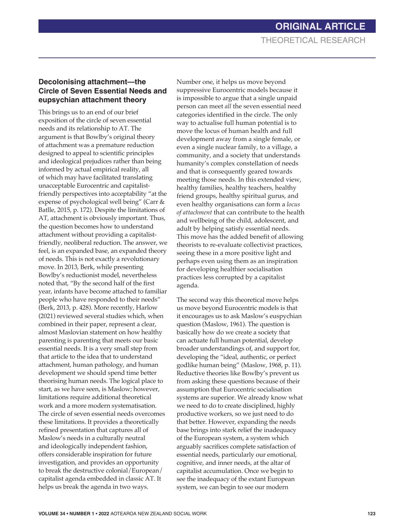#### **Decolonising attachment—the Circle of Seven Essential Needs and eupsychian attachment theory**

This brings us to an end of our brief exposition of the circle of seven essential needs and its relationship to AT. The argument is that Bowlby's original theory of attachment was a premature reduction designed to appeal to scientific principles and ideological prejudices rather than being informed by actual empirical reality, all of which may have facilitated translating unacceptable Eurocentric and capitalistfriendly perspectives into acceptability "at the expense of psychological well being" (Carr & Batlle, 2015, p. 172). Despite the limitations of AT, attachment is obviously important. Thus, the question becomes how to understand attachment without providing a capitalistfriendly, neoliberal reduction. The answer, we feel, is an expanded base, an expanded theory of needs. This is not exactly a revolutionary move. In 2013, Berk, while presenting Bowlby's reductionist model, nevertheless noted that, "By the second half of the first year, infants have become attached to familiar people who have responded to their needs" (Berk, 2013, p. 428). More recently, Harlow (2021) reviewed several studies which, when combined in their paper, represent a clear, almost Maslovian statement on how healthy parenting is parenting that meets our basic essential needs. It is a very small step from that article to the idea that to understand attachment, human pathology, and human development we should spend time better theorising human needs. The logical place to start, as we have seen, is Maslow; however, limitations require additional theoretical work and a more modern systematisation. The circle of seven essential needs overcomes these limitations. It provides a theoretically refined presentation that captures all of Maslow's needs in a culturally neutral and ideologically independent fashion, offers considerable inspiration for future investigation, and provides an opportunity to break the destructive colonial/European/ capitalist agenda embedded in classic AT. It helps us break the agenda in two ways.

Number one, it helps us move beyond suppressive Eurocentric models because it is impossible to argue that a single unpaid person can meet *all* the seven essential need categories identified in the circle. The only way to actualise full human potential is to move the locus of human health and full development away from a single female, or even a single nuclear family, to a village, a community, and a society that understands humanity's complex constellation of needs and that is consequently geared towards meeting those needs. In this extended view, healthy families, healthy teachers, healthy friend groups, healthy spiritual gurus, and even healthy organisations can form a *locus of attachment* that can contribute to the health and wellbeing of the child, adolescent, and adult by helping satisfy essential needs. This move has the added benefit of allowing theorists to re-evaluate collectivist practices, seeing these in a more positive light and perhaps even using them as an inspiration for developing healthier socialisation practices less corrupted by a capitalist agenda.

The second way this theoretical move helps us move beyond Eurocentric models is that it encourages us to ask Maslow's euspychian question (Maslow, 1961). The question is basically how do we create a society that can actuate full human potential, develop broader understandings of, and support for, developing the "ideal, authentic, or perfect godlike human being" (Maslow, 1968, p. 11). Reductive theories like Bowlby's prevent us from asking these questions because of their assumption that Eurocentric socialisation systems are superior. We already know what we need to do to create disciplined, highly productive workers, so we just need to do that better. However, expanding the needs base brings into stark relief the inadequacy of the European system, a system which arguably sacrifices complete satisfaction of essential needs, particularly our emotional, cognitive, and inner needs, at the altar of capitalist accumulation. Once we begin to see the inadequacy of the extant European system, we can begin to see our modern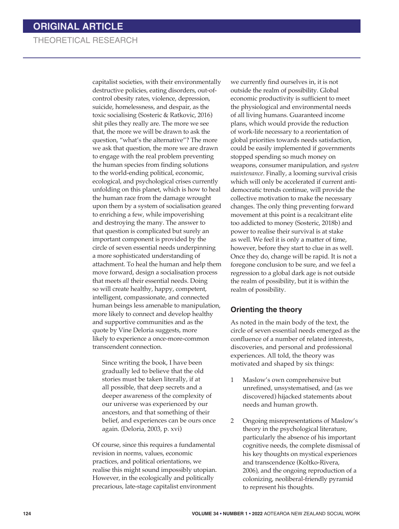capitalist societies, with their environmentally destructive policies, eating disorders, out-ofcontrol obesity rates, violence, depression, suicide, homelessness, and despair, as the toxic socialising (Sosteric & Ratkovic, 2016) shit piles they really are. The more we see that, the more we will be drawn to ask the question, "what's the alternative"? The more we ask that question, the more we are drawn to engage with the real problem preventing the human species from finding solutions to the world-ending political, economic, ecological, and psychological crises currently unfolding on this planet, which is how to heal the human race from the damage wrought upon them by a system of socialisation geared to enriching a few, while impoverishing and destroying the many. The answer to that question is complicated but surely an important component is provided by the circle of seven essential needs underpinning a more sophisticated understanding of attachment. To heal the human and help them move forward, design a socialisation process that meets *all* their essential needs. Doing so will create healthy, happy, competent, intelligent, compassionate, and connected human beings less amenable to manipulation, more likely to connect and develop healthy and supportive communities and as the quote by Vine Deloria suggests, more likely to experience a once-more-common transcendent connection.

Since writing the book, I have been gradually led to believe that the old stories must be taken literally, if at all possible, that deep secrets and a deeper awareness of the complexity of our universe was experienced by our ancestors, and that something of their belief, and experiences can be ours once again. (Deloria, 2003, p. xvi)

Of course, since this requires a fundamental revision in norms, values, economic practices, and political orientations, we realise this might sound impossibly utopian. However, in the ecologically and politically precarious, late-stage capitalist environment

we currently find ourselves in, it is not outside the realm of possibility. Global economic productivity is sufficient to meet the physiological and environmental needs of all living humans. Guaranteed income plans, which would provide the reduction of work-life necessary to a reorientation of global priorities towards needs satisfaction, could be easily implemented if governments stopped spending so much money on weapons, consumer manipulation, and *system maintenance*. Finally, a looming survival crisis which will only be accelerated if current antidemocratic trends continue, will provide the collective motivation to make the necessary changes. The only thing preventing forward movement at this point is a recalcitrant elite too addicted to money (Sosteric, 2018b) and power to realise their survival is at stake as well. We feel it is only a matter of time, however, before they start to clue in as well. Once they do, change will be rapid. It is not a foregone conclusion to be sure, and we feel a regression to a global dark age is not outside the realm of possibility, but it is within the realm of possibility.

#### **Orienting the theory**

As noted in the main body of the text, the circle of seven essential needs emerged as the confluence of a number of related interests, discoveries, and personal and professional experiences. All told, the theory was motivated and shaped by six things:

- 1 Maslow's own comprehensive but unrefined, unsystematised, and (as we discovered) hijacked statements about needs and human growth.
- 2 Ongoing misrepresentations of Maslow's theory in the psychological literature, particularly the absence of his important cognitive needs, the complete dismissal of his key thoughts on mystical experiences and transcendence (Koltko-Rivera, 2006), and the ongoing reproduction of a colonizing, neoliberal-friendly pyramid to represent his thoughts.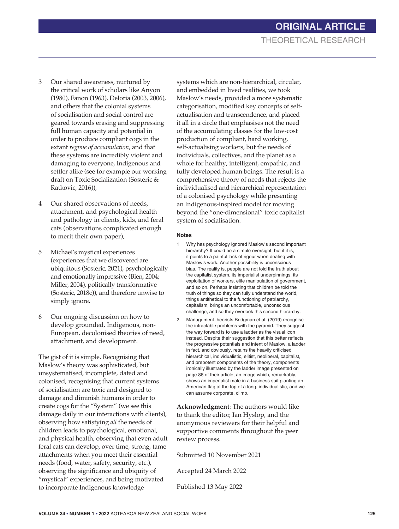- 3 Our shared awareness, nurtured by the critical work of scholars like Anyon (1980), Fanon (1963), Deloria (2003, 2006), and others that the colonial systems of socialisation and social control are geared towards erasing and suppressing full human capacity and potential in order to produce compliant cogs in the extant *regime of accumulation*, and that these systems are incredibly violent and damaging to everyone, Indigenous and settler alike (see for example our working draft on Toxic Socialization (Sosteric & Ratkovic, 2016)),
- 4 Our shared observations of needs, attachment, and psychological health and pathology in clients, kids, and feral cats (observations complicated enough to merit their own paper),
- 5 Michael's mystical experiences (experiences that we discovered are ubiquitous (Sosteric, 2021), psychologically and emotionally impressive (Bien, 2004; Miller, 2004), politically transformative (Sosteric, 2018c)), and therefore unwise to simply ignore.
- 6 Our ongoing discussion on how to develop grounded, Indigenous, non-European, decolonised theories of need, attachment, and development.

The gist of it is simple. Recognising that Maslow's theory was sophisticated, but unsystematised, incomplete, dated and colonised, recognising that current systems of socialisation are toxic and designed to damage and diminish humans in order to create cogs for the "System" (we see this damage daily in our interactions with clients), observing how satisfying *all* the needs of children leads to psychological, emotional, and physical health, observing that even adult feral cats can develop, over time, strong, tame attachments when you meet their essential needs (food, water, safety, security, etc.), observing the significance and ubiquity of "mystical" experiences, and being motivated to incorporate Indigenous knowledge

systems which are non-hierarchical, circular, and embedded in lived realities, we took Maslow's needs, provided a more systematic categorisation, modified key concepts of selfactualisation and transcendence, and placed it all in a circle that emphasises not the need of the accumulating classes for the low-cost production of compliant, hard working, self-actualising workers, but the needs of individuals, collectives, and the planet as a whole for healthy, intelligent, empathic, and fully developed human beings. The result is a comprehensive theory of needs that rejects the individualised and hierarchical representation of a colonised psychology while presenting an Indigenous-inspired model for moving beyond the "one-dimensional" toxic capitalist system of socialisation.

#### **Notes**

- 1 Why has psychology ignored Maslow's second important hierarchy? It could be a simple oversight, but if it is, it points to a painful lack of rigour when dealing with Maslow's work. Another possibility is unconscious bias. The reality is, people are not told the truth about the capitalist system, its imperialist underpinnings, its exploitation of workers, elite manipulation of government, and so on. Perhaps insisting that children be told the truth of things so they can fully understand the world, things antithetical to the functioning of patriarchy, capitalism, brings an uncomfortable, unconscious challenge, and so they overlook this second hierarchy.
- 2 Management theorists Bridgman et al. (2019) recognise the intractable problems with the pyramid. They suggest the way forward is to use a ladder as the visual icon instead. Despite their suggestion that this better reflects the progressive potentials and intent of Maslow, a ladder in fact, and obviously, retains the heavily criticised hierarchical, individualistic, elitist, neoliberal, capitalist, and prepotent components of the theory, components ironically illustrated by the ladder image presented on page 86 of their article, an image which, remarkably, shows an imperialist male in a business suit planting an American flag at the top of a long, individualistic, and we can assume corporate, climb.

**Acknowledgment**: The authors would like to thank the editor, Ian Hyslop, and the anonymous reviewers for their helpful and supportive comments throughout the peer review process.

Submitted 10 November 2021

Accepted 24 March 2022

Published 13 May 2022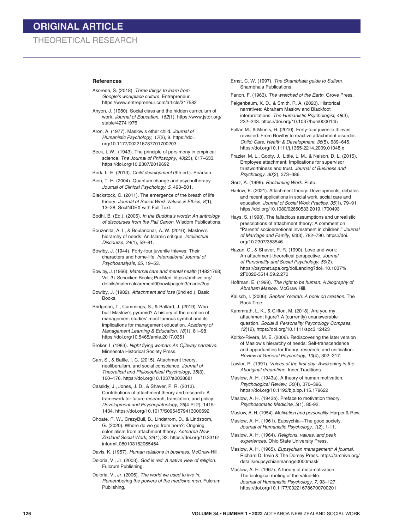#### **References**

- Akorede, S. (2018). *Three things to learn from Google's workplace culture*. Entrepreneur. https://www.entrepreneur.com/article/317582
- Anyon, J. (1980). Social class and the hidden curriculum of work. *Journal of Education*, *162*(1). https://www.jstor.org/ stable/42741976
- Aron, A. (1977). Maslow's other child. *Journal of Humanistic Psychology*, *17*(2), 9. https://doi. org/10.1177/002216787701700203
- Beck, L.W.. (1943). The principle of parsimony in empirical science. *The Journal of Philosophy*, *40*(23), 617–633. https://doi.org/10.2307/2019692
- Berk, L. E. (2013). *Child development* (9th ed.). Pearson.
- Bien, T. H. (2004). Quantum change and psychotherapy. *Journal of Clinical Psychology*, *5*, 493–501.
- Blackstock, C. (2011). The emergence of the breath of life theory. *Journal of Social Work Values & Ethics*, *8*(1), 13–28. SocINDEX with Full Text.
- Bodhi, B. (Ed.). (2005). *In the Buddha's words: An anthology of discourses from the Pali Canon*. Wisdom Publications.
- Bouzenita, A. I., & Boulanouar, A. W. (2016). Maslow's hierarchy of needs: An Islamic critique. *Intellectual Discourse*, *24*(1), 59–81.
- Bowlby, J. (1944). Forty-four juvenile thieves: Their characters and home-life. *International Journal of Psychoanalysis*, *25*, 19–53.
- Bowlby, J. (1966). *Maternal care and mental health* (14821768; Vol. 3). Schocken Books; PubMed. https://archive.org/ details/maternalcarement00bowl/page/n3/mode/2up
- Bowlby, J. (1982). *Attachment and loss* (2nd ed.). Basic **Books**
- Bridgman, T., Cummings, S., & Ballard, J. (2019). Who built Maslow's pyramid? A history of the creation of management studies' most famous symbol and its implications for management education. *Academy of Management Learning & Education*, *18*(1), 81–98. https://doi.org/10.5465/amle.2017.0351
- Broker, I. (1983). *Night flying woman: An Ojibway narrative*. Minnesota Historical Society Press.
- Carr, S., & Batlle, I. C. (2015). Attachment theory, neoliberalism, and social conscience. *Journal of Theoretical and Philosophical Psychology*, *35*(3), 160–176. https://doi.org/10.1037/a0038681
- Cassidy, J., Jones, J. D., & Shaver, P. R. (2013). Contributions of attachment theory and research: A framework for future research, translation, and policy. *Development and Psychopathology*, *25*(4 Pt 2), 1415– 1434. https://doi.org/10.1017/S0954579413000692
- Choate, P. W., CrazyBull, B., Lindstrom, D., & Lindstrom, G. (2020). Where do we go from here?: Ongoing colonialism from attachment theory. *Aotearoa New Zealand Social Work*, *32*(1), 32. https://doi.org/10.3316/ informit.080103162065454
- Davis, K. (1957). *Human relations in business*. McGraw-Hill.
- Deloria, V., Jr. (2003). *God is red: A native view of religion*. Fulcrum Publishing.
- Deloria, V., Jr. (2006). *The world we used to live in: Remembering the powers of the medicine men*. Fulcrum Publishing.

Ernst, C. W. (1997). *The Shambhala guide to Sufism*. Shambhala Publications.

Fanon, F. (1963). *The wretched of the Earth*. Grove Press.

- Feigenbaum, K. D., & Smith, R. A. (2020). Historical narratives: Abraham Maslow and Blackfoot interpretations. *The Humanistic Psychologist*, *48*(3), 232–243. https://doi.org/10.1037/hum0000145
- Follan M., & Minnis, H. (2010). Forty-four juvenile thieves revisited: From Bowlby to reactive attachment disorder. *Child: Care, Health & Development*, *36*(5), 639–645. https://doi.org/10.1111/j.1365-2214.2009.01048.x
- Frazier, M. L., Gooty, J., Little, L. M., & Nelson, D. L. (2015). Employee attachment: Implications for supervisor trustworthiness and trust. *Journal of Business and Psychology*, *30*(2), 373–386.
- Gorz, A. (1999). *Reclaiming Work*. Pluto.
- Harlow, E. (2021). Attachment theory: Developments, debates and recent applications in social work, social care and education. *Journal of Social Work Practice*, *35*(1), 79–91. https://doi.org/10.1080/02650533.2019.1700493
- Hays, S. (1998). The fallacious assumptions and unrealistic prescriptions of attachment theory: A comment on "Parents' socioemotional investment in children." *Journal of Marriage and Family*, *60*(3), 782–790. https://doi. org/10.2307/353546
- Hazan, C., & Shaver, P. R. (1990). Love and work: An attachment-theoretical perspective. *Journal of Personality and Social Psychology*, *59*(2). https://psycnet.apa.org/doiLanding?doi=10.1037% 2F0022-3514.59.2.270
- Hoffman, E. (1999). *The right to be human: A biography of Abraham Maslow*. McGraw Hill.
- Kalisch, I. (2006). *Sepher Yezirah: A book on creation*. The Book Tree.
- Kammrath, L. K., & Clifton, M. (2018). Are you my attachment figure? A (currently) unanswerable question. *Social & Personality Psychology Compass*, *12*(12), https://doi.org/10.1111/spc3.12423
- Koltko-Rivera, M. E. (2006). Rediscovering the later version of Maslow's hierarchy of needs: Self-transcendence and opportunities for theory, research, and unification. *Review of General Psychology*, *10*(4), 302–317.
- Lawlor, R. (1991). *Voices of the first day: Awakening in the Aboriginal dreamtime*. Inner Traditions.
- Maslow, A. H. (1943a). A theory of human motivation. *Psychological Review*, *50*(4), 370–396. https://doi.org/10.1192/bjp.bp.115.179622
- Maslow, A. H. (1943b). Preface to motivation theory. *Psychosomatic Medicine*, *5*(1), 85-92.
- Maslow, A. H. (1954). *Motivation and personality*. Harper & Row.
- Maslow, A. H. (1961). Eupsychia—The good society. *Journal of Humanistic Psychology*, *1*(2), 1-11.
- Maslow, A. H. (1964). *Religions, values, and peak experiences*. Ohio State University Press.
- Maslow, A. H. (1965). *Eupsychian management: A journal*. Richard D. Irwin & The Dorsey Press. https://archive.org/ details/eupsychianmanage0000masl/
- Maslow, A. H. (1967). A theory of metamotivation: The biological rooting of the value-life. *Journal of Humanistic Psychology*, *7*, 93–127. https://doi.org/10.1177/002216786700700201